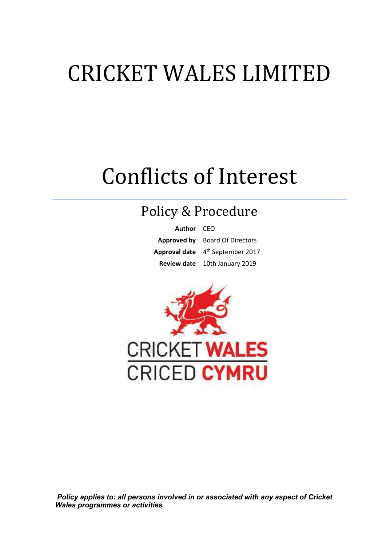# CRICKET WALES LIMITED

## Conflicts of Interest

### Policy & Procedure

**Author** CEO **Approved by** Board Of Directors **Approval date** 4 th September 2017 **Review date** 10th January 2019



 *Policy applies to: all persons involved in or associated with any aspect of Cricket Wales programmes or activities*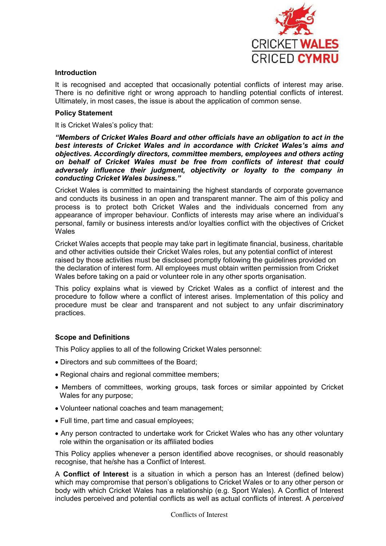

#### **Introduction**

It is recognised and accepted that occasionally potential conflicts of interest may arise. There is no definitive right or wrong approach to handling potential conflicts of interest. Ultimately, in most cases, the issue is about the application of common sense.

#### **Policy Statement**

It is Cricket Wales's policy that:

*"Members of Cricket Wales Board and other officials have an obligation to act in the best interests of Cricket Wales and in accordance with Cricket Wales's aims and objectives. Accordingly directors, committee members, employees and others acting on behalf of Cricket Wales must be free from conflicts of interest that could adversely influence their judgment, objectivity or loyalty to the company in conducting Cricket Wales business."*

Cricket Wales is committed to maintaining the highest standards of corporate governance and conducts its business in an open and transparent manner. The aim of this policy and process is to protect both Cricket Wales and the individuals concerned from any appearance of improper behaviour. Conflicts of interests may arise where an individual's personal, family or business interests and/or loyalties conflict with the objectives of Cricket **Wales** 

Cricket Wales accepts that people may take part in legitimate financial, business, charitable and other activities outside their Cricket Wales roles, but any potential conflict of interest raised by those activities must be disclosed promptly following the guidelines provided on the declaration of interest form. All employees must obtain written permission from Cricket Wales before taking on a paid or volunteer role in any other sports organisation*.* 

This policy explains what is viewed by Cricket Wales as a conflict of interest and the procedure to follow where a conflict of interest arises. Implementation of this policy and procedure must be clear and transparent and not subject to any unfair discriminatory practices.

#### **Scope and Definitions**

This Policy applies to all of the following Cricket Wales personnel:

- Directors and sub committees of the Board;
- Regional chairs and regional committee members;
- Members of committees, working groups, task forces or similar appointed by Cricket Wales for any purpose;
- Volunteer national coaches and team management;
- Full time, part time and casual employees;
- Any person contracted to undertake work for Cricket Wales who has any other voluntary role within the organisation or its affiliated bodies

This Policy applies whenever a person identified above recognises, or should reasonably recognise, that he/she has a Conflict of Interest.

A **Conflict of Interest** is a situation in which a person has an Interest (defined below) which may compromise that person's obligations to Cricket Wales or to any other person or body with which Cricket Wales has a relationship (e.g. Sport Wales). A Conflict of Interest includes perceived and potential conflicts as well as actual conflicts of interest. A *perceived*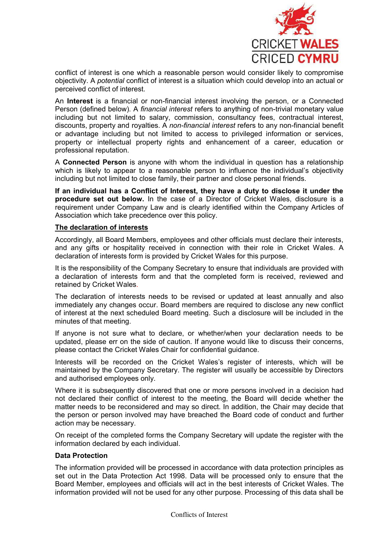

conflict of interest is one which a reasonable person would consider likely to compromise objectivity. A *potential* conflict of interest is a situation which could develop into an actual or perceived conflict of interest.

An **Interest** is a financial or non-financial interest involving the person, or a Connected Person (defined below). A *financial interest* refers to anything of non-trivial monetary value including but not limited to salary, commission, consultancy fees, contractual interest, discounts, property and royalties. A *non-financial interest* refers to any non-financial benefit or advantage including but not limited to access to privileged information or services, property or intellectual property rights and enhancement of a career, education or professional reputation.

A **Connected Person** is anyone with whom the individual in question has a relationship which is likely to appear to a reasonable person to influence the individual's objectivity including but not limited to close family, their partner and close personal friends.

**If an individual has a Conflict of Interest, they have a duty to disclose it under the procedure set out below.** In the case of a Director of Cricket Wales, disclosure is a requirement under Company Law and is clearly identified within the Company Articles of Association which take precedence over this policy.

#### **The declaration of interests**

Accordingly, all Board Members, employees and other officials must declare their interests, and any gifts or hospitality received in connection with their role in Cricket Wales. A declaration of interests form is provided by Cricket Wales for this purpose.

It is the responsibility of the Company Secretary to ensure that individuals are provided with a declaration of interests form and that the completed form is received, reviewed and retained by Cricket Wales.

The declaration of interests needs to be revised or updated at least annually and also immediately any changes occur. Board members are required to disclose any new conflict of interest at the next scheduled Board meeting. Such a disclosure will be included in the minutes of that meeting.

If anyone is not sure what to declare, or whether/when your declaration needs to be updated, please err on the side of caution. If anyone would like to discuss their concerns, please contact the Cricket Wales Chair for confidential guidance.

Interests will be recorded on the Cricket Wales's register of interests, which will be maintained by the Company Secretary. The register will usually be accessible by Directors and authorised employees only.

Where it is subsequently discovered that one or more persons involved in a decision had not declared their conflict of interest to the meeting, the Board will decide whether the matter needs to be reconsidered and may so direct. In addition, the Chair may decide that the person or person involved may have breached the Board code of conduct and further action may be necessary.

On receipt of the completed forms the Company Secretary will update the register with the information declared by each individual.

#### **Data Protection**

The information provided will be processed in accordance with data protection principles as set out in the Data Protection Act 1998. Data will be processed only to ensure that the Board Member, employees and officials will act in the best interests of Cricket Wales. The information provided will not be used for any other purpose. Processing of this data shall be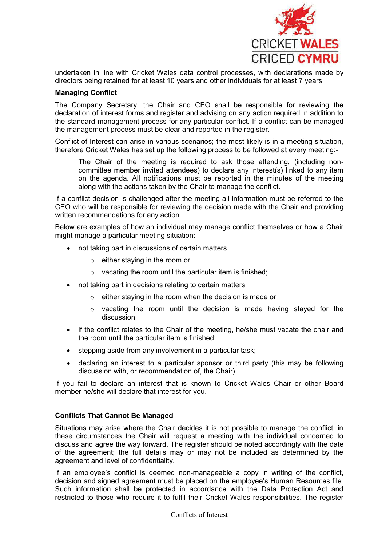

undertaken in line with Cricket Wales data control processes, with declarations made by directors being retained for at least 10 years and other individuals for at least 7 years.

#### **Managing Conflict**

The Company Secretary, the Chair and CEO shall be responsible for reviewing the declaration of interest forms and register and advising on any action required in addition to the standard management process for any particular conflict. If a conflict can be managed the management process must be clear and reported in the register.

Conflict of Interest can arise in various scenarios; the most likely is in a meeting situation, therefore Cricket Wales has set up the following process to be followed at every meeting:-

The Chair of the meeting is required to ask those attending, (including noncommittee member invited attendees) to declare any interest(s) linked to any item on the agenda. All notifications must be reported in the minutes of the meeting along with the actions taken by the Chair to manage the conflict.

If a conflict decision is challenged after the meeting all information must be referred to the CEO who will be responsible for reviewing the decision made with the Chair and providing written recommendations for any action.

Below are examples of how an individual may manage conflict themselves or how a Chair might manage a particular meeting situation:-

- not taking part in discussions of certain matters
	- $\circ$  either staying in the room or
	- $\circ$  vacating the room until the particular item is finished;
- not taking part in decisions relating to certain matters
	- o either staying in the room when the decision is made or
	- o vacating the room until the decision is made having stayed for the discussion;
- if the conflict relates to the Chair of the meeting, he/she must vacate the chair and the room until the particular item is finished;
- stepping aside from any involvement in a particular task;
- declaring an interest to a particular sponsor or third party (this may be following discussion with, or recommendation of, the Chair)

If you fail to declare an interest that is known to Cricket Wales Chair or other Board member he/she will declare that interest for you.

#### **Conflicts That Cannot Be Managed**

Situations may arise where the Chair decides it is not possible to manage the conflict, in these circumstances the Chair will request a meeting with the individual concerned to discuss and agree the way forward. The register should be noted accordingly with the date of the agreement; the full details may or may not be included as determined by the agreement and level of confidentiality.

If an employee's conflict is deemed non-manageable a copy in writing of the conflict, decision and signed agreement must be placed on the employee's Human Resources file. Such information shall be protected in accordance with the Data Protection Act and restricted to those who require it to fulfil their Cricket Wales responsibilities. The register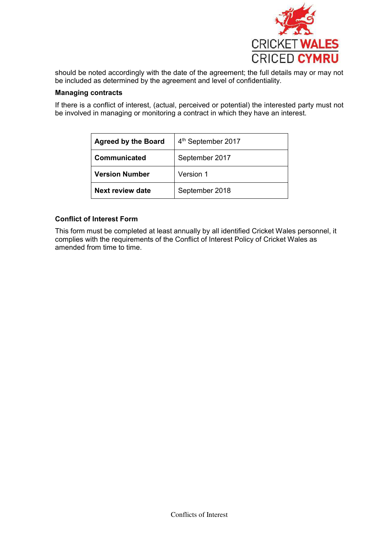

should be noted accordingly with the date of the agreement; the full details may or may not be included as determined by the agreement and level of confidentiality.

#### **Managing contracts**

If there is a conflict of interest, (actual, perceived or potential) the interested party must not be involved in managing or monitoring a contract in which they have an interest.

| <b>Agreed by the Board</b> | 4 <sup>th</sup> September 2017 |
|----------------------------|--------------------------------|
| Communicated               | September 2017                 |
| <b>Version Number</b>      | Version 1                      |
| Next review date           | September 2018                 |

#### **Conflict of Interest Form**

This form must be completed at least annually by all identified Cricket Wales personnel, it complies with the requirements of the Conflict of Interest Policy of Cricket Wales as amended from time to time.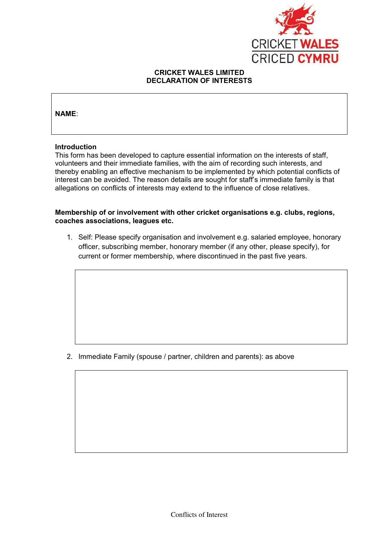

#### **CRICKET WALES LIMITED DECLARATION OF INTERESTS**

#### **NAME**:

#### **Introduction**

This form has been developed to capture essential information on the interests of staff, volunteers and their immediate families, with the aim of recording such interests, and thereby enabling an effective mechanism to be implemented by which potential conflicts of interest can be avoided. The reason details are sought for staff's immediate family is that allegations on conflicts of interests may extend to the influence of close relatives.

#### **Membership of or involvement with other cricket organisations e.g. clubs, regions, coaches associations, leagues etc.**

1. Self: Please specify organisation and involvement e.g. salaried employee, honorary officer, subscribing member, honorary member (if any other, please specify), for current or former membership, where discontinued in the past five years.

2. Immediate Family (spouse / partner, children and parents): as above